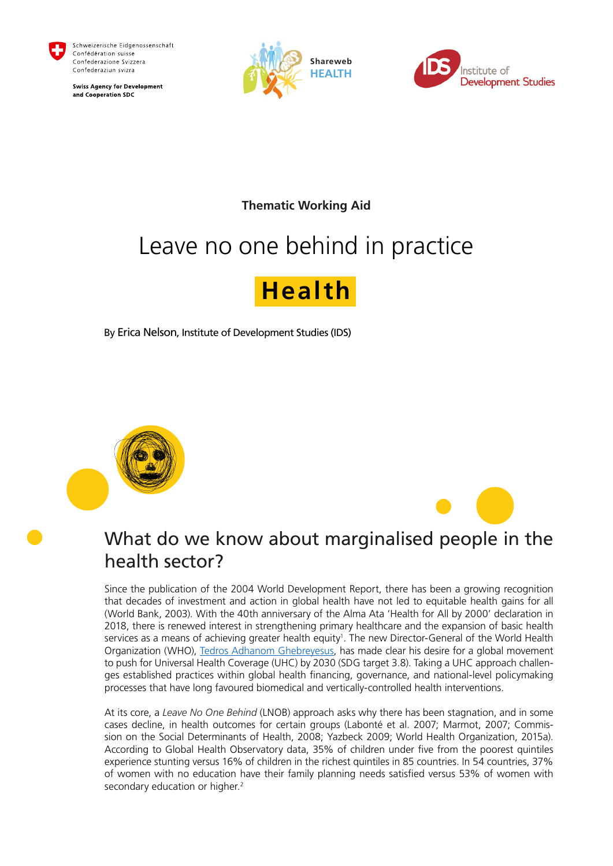

Schweizerische Eidgenossenschaft Confédération suisse Confederazione Svizzera Confederaziun svizra

**Swiss Agency for Development** and Cooperation SDC





### **Thematic Working Aid**

# Leave no one behind in practice

# **Health**

By Erica Nelson, Institute of Development Studies (IDS)



### What do we know about marginalised people in the health sector?

Since the publication of the 2004 World Development Report, there has been a growing recognition that decades of investment and action in global health have not led to equitable health gains for all (World Bank, 2003). With the 40th anniversary of the Alma Ata 'Health for All by 2000' declaration in 2018, there is renewed interest in strengthening primary healthcare and the expansion of basic health services as a means of achieving greater health equity<sup>1</sup>. The new Director-General of the World Health Organization (WHO), [Tedros Adhanom Ghebreyesus](https://www.bing.com/search?q=Tedros+Adhanom+Ghebreyesus&filters=ufn%3a%22Tedros+Adhanom+Ghebreyesus%22+sid%3a%22d081f51a-6499-481d-ab7f-22e01522d0ec%22&FORM=SNAPST), has made clear his desire for a global movement to push for Universal Health Coverage (UHC) by 2030 (SDG target 3.8). Taking a UHC approach challenges established practices within global health financing, governance, and national-level policymaking processes that have long favoured biomedical and vertically-controlled health interventions.

At its core, a *Leave No One Behind* (LNOB) approach asks why there has been stagnation, and in some cases decline, in health outcomes for certain groups (Labonté et al. 2007; Marmot, 2007; Commission on the Social Determinants of Health, 2008; Yazbeck 2009; World Health Organization, 2015a). According to Global Health Observatory data, 35% of children under five from the poorest quintiles experience stunting versus 16% of children in the richest quintiles in 85 countries. In 54 countries, 37% of women with no education have their family planning needs satisfied versus 53% of women with secondary education or higher.<sup>2</sup>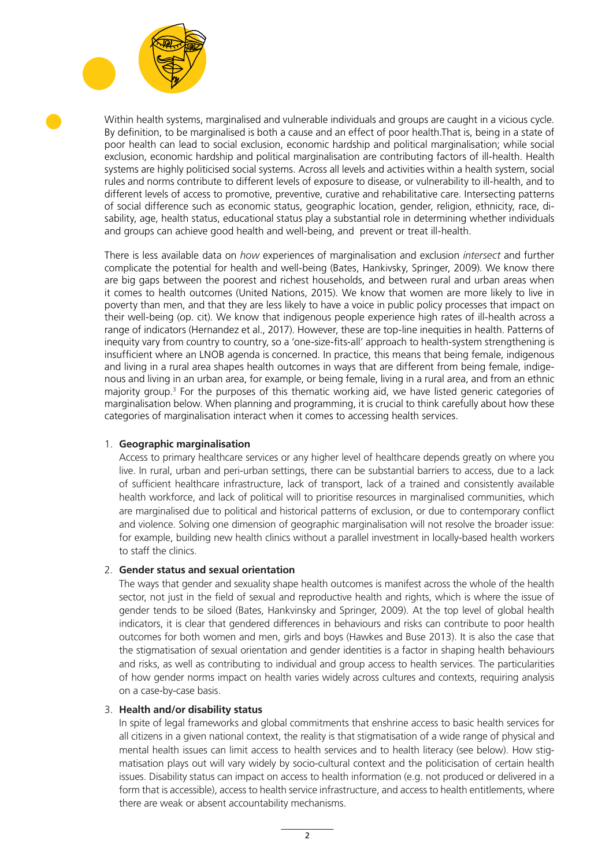

Within health systems, marginalised and vulnerable individuals and groups are caught in a vicious cycle. By definition, to be marginalised is both a cause and an effect of poor health.That is, being in a state of poor health can lead to social exclusion, economic hardship and political marginalisation; while social exclusion, economic hardship and political marginalisation are contributing factors of ill-health. Health systems are highly politicised social systems. Across all levels and activities within a health system, social rules and norms contribute to different levels of exposure to disease, or vulnerability to ill-health, and to different levels of access to promotive, preventive, curative and rehabilitative care. Intersecting patterns of social difference such as economic status, geographic location, gender, religion, ethnicity, race, disability, age, health status, educational status play a substantial role in determining whether individuals and groups can achieve good health and well-being, and prevent or treat ill-health.

There is less available data on *how* experiences of marginalisation and exclusion *intersect* and further complicate the potential for health and well-being (Bates, Hankivsky, Springer, 2009). We know there are big gaps between the poorest and richest households, and between rural and urban areas when it comes to health outcomes (United Nations, 2015). We know that women are more likely to live in poverty than men, and that they are less likely to have a voice in public policy processes that impact on their well-being (op. cit). We know that indigenous people experience high rates of ill-health across a range of indicators (Hernandez et al., 2017). However, these are top-line inequities in health. Patterns of inequity vary from country to country, so a 'one-size-fits-all' approach to health-system strengthening is insufficient where an LNOB agenda is concerned. In practice, this means that being female, indigenous and living in a rural area shapes health outcomes in ways that are different from being female, indigenous and living in an urban area, for example, or being female, living in a rural area, and from an ethnic majority group.<sup>3</sup> For the purposes of this thematic working aid, we have listed generic categories of marginalisation below. When planning and programming, it is crucial to think carefully about how these categories of marginalisation interact when it comes to accessing health services.

#### 1. **Geographic marginalisation**

Access to primary healthcare services or any higher level of healthcare depends greatly on where you live. In rural, urban and peri-urban settings, there can be substantial barriers to access, due to a lack of sufficient healthcare infrastructure, lack of transport, lack of a trained and consistently available health workforce, and lack of political will to prioritise resources in marginalised communities, which are marginalised due to political and historical patterns of exclusion, or due to contemporary conflict and violence. Solving one dimension of geographic marginalisation will not resolve the broader issue: for example, building new health clinics without a parallel investment in locally-based health workers to staff the clinics.

#### 2. **Gender status and sexual orientation**

The ways that gender and sexuality shape health outcomes is manifest across the whole of the health sector, not just in the field of sexual and reproductive health and rights, which is where the issue of gender tends to be siloed (Bates, Hankvinsky and Springer, 2009). At the top level of global health indicators, it is clear that gendered differences in behaviours and risks can contribute to poor health outcomes for both women and men, girls and boys (Hawkes and Buse 2013). It is also the case that the stigmatisation of sexual orientation and gender identities is a factor in shaping health behaviours and risks, as well as contributing to individual and group access to health services. The particularities of how gender norms impact on health varies widely across cultures and contexts, requiring analysis on a case-by-case basis.

#### 3. **Health and/or disability status**

In spite of legal frameworks and global commitments that enshrine access to basic health services for all citizens in a given national context, the reality is that stigmatisation of a wide range of physical and mental health issues can limit access to health services and to health literacy (see below). How stigmatisation plays out will vary widely by socio-cultural context and the politicisation of certain health issues. Disability status can impact on access to health information (e.g. not produced or delivered in a form that is accessible), access to health service infrastructure, and access to health entitlements, where there are weak or absent accountability mechanisms.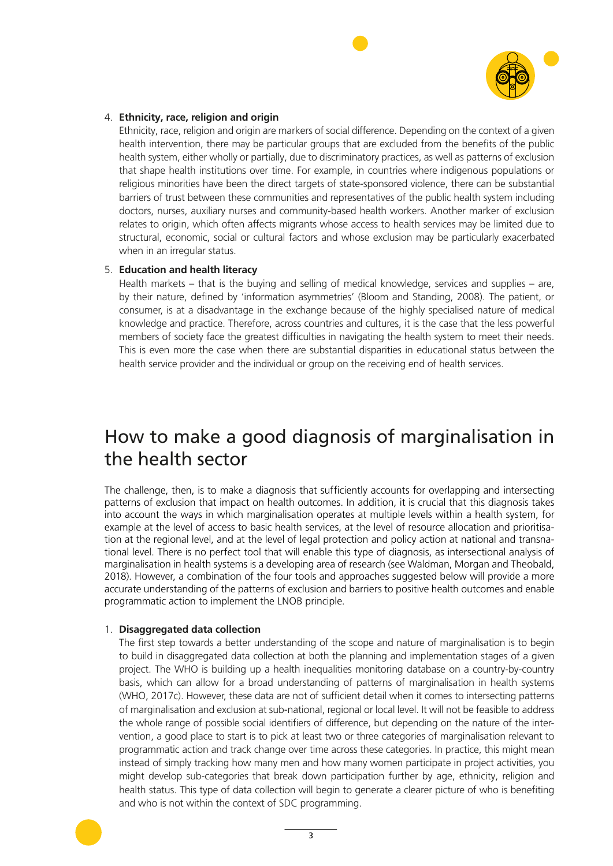

#### 4. **Ethnicity, race, religion and origin**

Ethnicity, race, religion and origin are markers of social difference. Depending on the context of a given health intervention, there may be particular groups that are excluded from the benefits of the public health system, either wholly or partially, due to discriminatory practices, as well as patterns of exclusion that shape health institutions over time. For example, in countries where indigenous populations or religious minorities have been the direct targets of state-sponsored violence, there can be substantial barriers of trust between these communities and representatives of the public health system including doctors, nurses, auxiliary nurses and community-based health workers. Another marker of exclusion relates to origin, which often affects migrants whose access to health services may be limited due to structural, economic, social or cultural factors and whose exclusion may be particularly exacerbated when in an irregular status.

#### 5. **Education and health literacy**

Health markets – that is the buying and selling of medical knowledge, services and supplies – are, by their nature, defined by 'information asymmetries' (Bloom and Standing, 2008). The patient, or consumer, is at a disadvantage in the exchange because of the highly specialised nature of medical knowledge and practice. Therefore, across countries and cultures, it is the case that the less powerful members of society face the greatest difficulties in navigating the health system to meet their needs. This is even more the case when there are substantial disparities in educational status between the health service provider and the individual or group on the receiving end of health services.

### How to make a good diagnosis of marginalisation in the health sector

The challenge, then, is to make a diagnosis that sufficiently accounts for overlapping and intersecting patterns of exclusion that impact on health outcomes. In addition, it is crucial that this diagnosis takes into account the ways in which marginalisation operates at multiple levels within a health system, for example at the level of access to basic health services, at the level of resource allocation and prioritisation at the regional level, and at the level of legal protection and policy action at national and transnational level. There is no perfect tool that will enable this type of diagnosis, as intersectional analysis of marginalisation in health systems is a developing area of research (see Waldman, Morgan and Theobald, 2018). However, a combination of the four tools and approaches suggested below will provide a more accurate understanding of the patterns of exclusion and barriers to positive health outcomes and enable programmatic action to implement the LNOB principle.

#### 1. **Disaggregated data collection**

The first step towards a better understanding of the scope and nature of marginalisation is to begin to build in disaggregated data collection at both the planning and implementation stages of a given project. The WHO is building up a health inequalities monitoring database on a country-by-country basis, which can allow for a broad understanding of patterns of marginalisation in health systems (WHO, 2017c). However, these data are not of sufficient detail when it comes to intersecting patterns of marginalisation and exclusion at sub-national, regional or local level. It will not be feasible to address the whole range of possible social identifiers of difference, but depending on the nature of the intervention, a good place to start is to pick at least two or three categories of marginalisation relevant to programmatic action and track change over time across these categories. In practice, this might mean instead of simply tracking how many men and how many women participate in project activities, you might develop sub-categories that break down participation further by age, ethnicity, religion and health status. This type of data collection will begin to generate a clearer picture of who is benefiting and who is not within the context of SDC programming.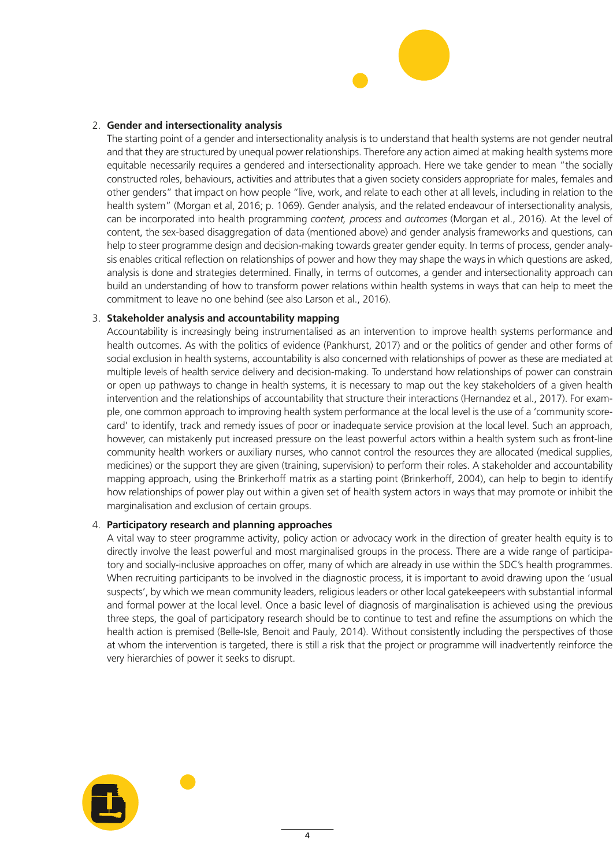

#### 2. **Gender and intersectionality analysis**

The starting point of a gender and intersectionality analysis is to understand that health systems are not gender neutral and that they are structured by unequal power relationships. Therefore any action aimed at making health systems more equitable necessarily requires a gendered and intersectionality approach. Here we take gender to mean "the socially constructed roles, behaviours, activities and attributes that a given society considers appropriate for males, females and other genders" that impact on how people "live, work, and relate to each other at all levels, including in relation to the health system" (Morgan et al, 2016; p. 1069). Gender analysis, and the related endeavour of intersectionality analysis, can be incorporated into health programming *content, process* and *outcomes* (Morgan et al., 2016). At the level of content, the sex-based disaggregation of data (mentioned above) and gender analysis frameworks and questions, can help to steer programme design and decision-making towards greater gender equity. In terms of process, gender analysis enables critical reflection on relationships of power and how they may shape the ways in which questions are asked, analysis is done and strategies determined. Finally, in terms of outcomes, a gender and intersectionality approach can build an understanding of how to transform power relations within health systems in ways that can help to meet the commitment to leave no one behind (see also Larson et al., 2016).

#### 3. **Stakeholder analysis and accountability mapping**

Accountability is increasingly being instrumentalised as an intervention to improve health systems performance and health outcomes. As with the politics of evidence (Pankhurst, 2017) and or the politics of gender and other forms of social exclusion in health systems, accountability is also concerned with relationships of power as these are mediated at multiple levels of health service delivery and decision-making. To understand how relationships of power can constrain or open up pathways to change in health systems, it is necessary to map out the key stakeholders of a given health intervention and the relationships of accountability that structure their interactions (Hernandez et al., 2017). For example, one common approach to improving health system performance at the local level is the use of a 'community scorecard' to identify, track and remedy issues of poor or inadequate service provision at the local level. Such an approach, however, can mistakenly put increased pressure on the least powerful actors within a health system such as front-line community health workers or auxiliary nurses, who cannot control the resources they are allocated (medical supplies, medicines) or the support they are given (training, supervision) to perform their roles. A stakeholder and accountability mapping approach, using the Brinkerhoff matrix as a starting point (Brinkerhoff, 2004), can help to begin to identify how relationships of power play out within a given set of health system actors in ways that may promote or inhibit the marginalisation and exclusion of certain groups.

#### 4. **Participatory research and planning approaches**

A vital way to steer programme activity, policy action or advocacy work in the direction of greater health equity is to directly involve the least powerful and most marginalised groups in the process. There are a wide range of participatory and socially-inclusive approaches on offer, many of which are already in use within the SDC's health programmes. When recruiting participants to be involved in the diagnostic process, it is important to avoid drawing upon the 'usual suspects', by which we mean community leaders, religious leaders or other local gatekeepeers with substantial informal and formal power at the local level. Once a basic level of diagnosis of marginalisation is achieved using the previous three steps, the goal of participatory research should be to continue to test and refine the assumptions on which the health action is premised (Belle-Isle, Benoit and Pauly, 2014). Without consistently including the perspectives of those at whom the intervention is targeted, there is still a risk that the project or programme will inadvertently reinforce the very hierarchies of power it seeks to disrupt.

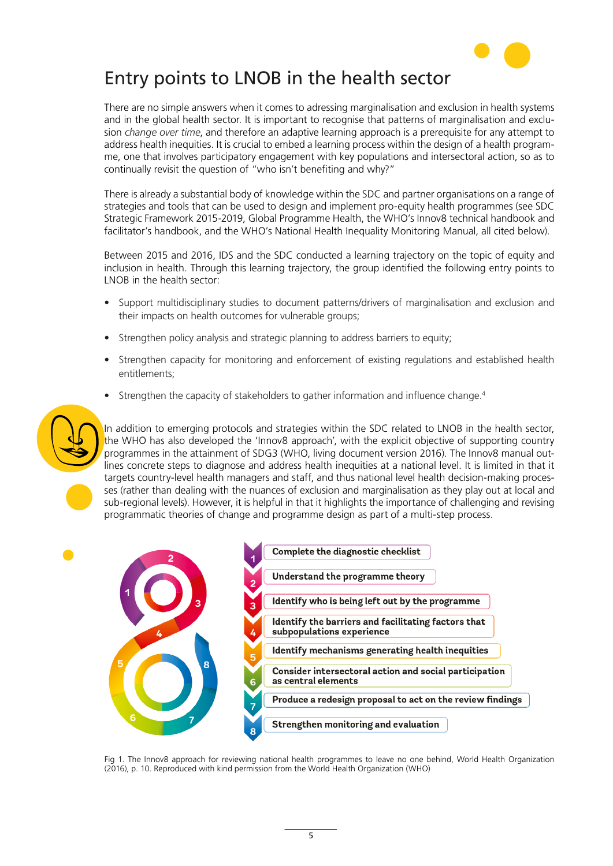

## Entry points to LNOB in the health sector

There are no simple answers when it comes to adressing marginalisation and exclusion in health systems and in the global health sector. It is important to recognise that patterns of marginalisation and exclusion *change over time*, and therefore an adaptive learning approach is a prerequisite for any attempt to address health inequities. It is crucial to embed a learning process within the design of a health programme, one that involves participatory engagement with key populations and intersectoral action, so as to continually revisit the question of "who isn't benefiting and why?"

There is already a substantial body of knowledge within the SDC and partner organisations on a range of strategies and tools that can be used to design and implement pro-equity health programmes (see SDC Strategic Framework 2015-2019, Global Programme Health, the WHO's Innov8 technical handbook and facilitator's handbook, and the WHO's National Health Inequality Monitoring Manual, all cited below).

Between 2015 and 2016, IDS and the SDC conducted a learning trajectory on the topic of equity and inclusion in health. Through this learning trajectory, the group identified the following entry points to LNOB in the health sector:

- Support multidisciplinary studies to document patterns/drivers of marginalisation and exclusion and their impacts on health outcomes for vulnerable groups;
- Strengthen policy analysis and strategic planning to address barriers to equity;
- Strengthen capacity for monitoring and enforcement of existing regulations and established health entitlements;
- Strengthen the capacity of stakeholders to gather information and influence change.<sup>4</sup>



In addition to emerging protocols and strategies within the SDC related to LNOB in the health sector, the WHO has also developed the 'Innov8 approach', with the explicit objective of supporting country programmes in the attainment of SDG3 (WHO, living document version 2016). The Innov8 manual outlines concrete steps to diagnose and address health inequities at a national level. It is limited in that it targets country-level health managers and staff, and thus national level health decision-making processes (rather than dealing with the nuances of exclusion and marginalisation as they play out at local and sub-regional levels). However, it is helpful in that it highlights the importance of challenging and revising programmatic theories of change and programme design as part of a multi-step process.



Fig 1. The Innov8 approach for reviewing national health programmes to leave no one behind, World Health Organization (2016), p. 10. Reproduced with kind permission from the World Health Organization (WHO)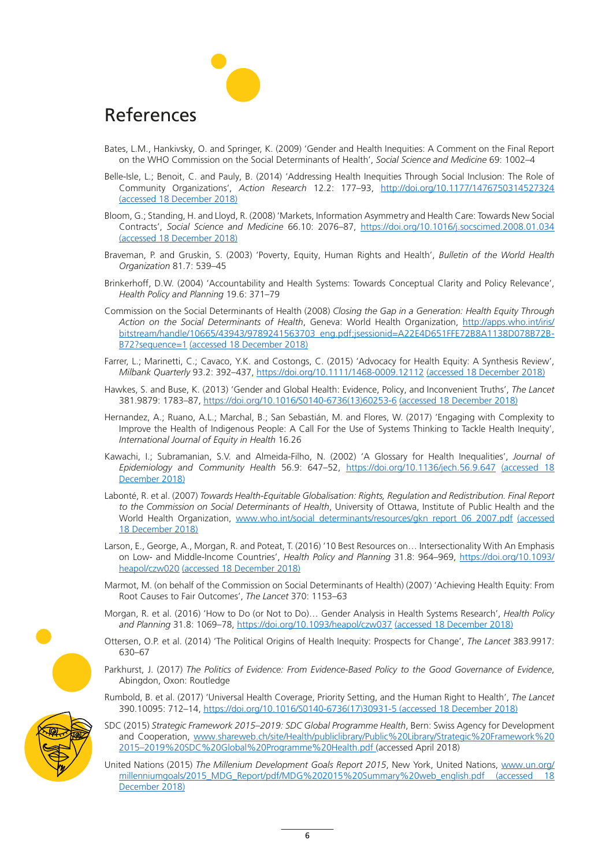### References

- Bates, L.M., Hankivsky, O. and Springer, K. (2009) 'Gender and Health Inequities: A Comment on the Final Report on the WHO Commission on the Social Determinants of Health', *Social Science and Medicine* 69: 1002–4
- Belle-Isle, L.; Benoit, C. and Pauly, B. (2014) 'Addressing Health Inequities Through Social Inclusion: The Role of Community Organizations', *Action Research* 12.2: 177–93, <http://doi.org/10.1177/1476750314527324> (accessed 18 December 2018)
- Bloom, G.; Standing, H. and Lloyd, R. (2008) 'Markets, Information Asymmetry and Health Care: Towards New Social Contracts', *Social Science and Medicine* 66.10: 2076–87, <https://doi.org/10.1016/j.socscimed.2008.01.034> (accessed 18 December 2018)
- Braveman, P. and Gruskin, S. (2003) 'Poverty, Equity, Human Rights and Health', *Bulletin of the World Health Organization* 81.7: 539–45
- Brinkerhoff, D.W. (2004) 'Accountability and Health Systems: Towards Conceptual Clarity and Policy Relevance', *Health Policy and Planning* 19.6: 371–79
- Commission on the Social Determinants of Health (2008) *Closing the Gap in a Generation: Health Equity Through Action on the Social Determinants of Health*, Geneva: World Health Organization, [http://apps.who.int/iris/](http://apps.who.int/iris/bitstream/handle/10665/43943/9789241563703_eng.pdf;jsessionid=A22E4D651FFE72B8A1138D078B72BB72?sequence=1) [bitstream/handle/10665/43943/9789241563703\\_eng.pdf;jsessionid=A22E4D651FFE72B8A1138D078B72B-](http://apps.who.int/iris/bitstream/handle/10665/43943/9789241563703_eng.pdf;jsessionid=A22E4D651FFE72B8A1138D078B72BB72?sequence=1)[B72?sequence=1](http://apps.who.int/iris/bitstream/handle/10665/43943/9789241563703_eng.pdf;jsessionid=A22E4D651FFE72B8A1138D078B72BB72?sequence=1) (accessed 18 December 2018)
- Farrer, L.; Marinetti, C.; Cavaco, Y.K. and Costongs, C. (2015) 'Advocacy for Health Equity: A Synthesis Review', *Milbank Quarterly* 93.2: 392–437,<https://doi.org/10.1111/1468-0009.12112> (accessed 18 December 2018)
- Hawkes, S. and Buse, K. (2013) 'Gender and Global Health: Evidence, Policy, and Inconvenient Truths', *The Lancet*  381.9879: 1783–87, [https://doi.org/10.1016/S0140-6736\(13\)60253-6](https://doi.org/10.1016/S0140-6736(13)60253-6) (accessed 18 December 2018)
- Hernandez, A.; Ruano, A.L.; Marchal, B.; San Sebastián, M. and Flores, W. (2017) 'Engaging with Complexity to Improve the Health of Indigenous People: A Call For the Use of Systems Thinking to Tackle Health Inequity', *International Journal of Equity in Health* 16.26
- Kawachi, I.; Subramanian, S.V. and Almeida-Filho, N. (2002) 'A Glossary for Health Inequalities', *Journal of Epidemiology and Community Health* 56.9: 647–52, <https://doi.org/10.1136/jech.56.9.647> (accessed 18 December 2018)
- Labonté, R. et al. (2007) *Towards Health-Equitable Globalisation: Rights, Regulation and Redistribution. Final Report to the Commission on Social Determinants of Health*, University of Ottawa, Institute of Public Health and the World Health Organization, [www.who.int/social\\_determinants/resources/gkn\\_report\\_06\\_2007.pdf](http://www.who.int/social_determinants/resources/gkn_report_06_2007.pdf) (accessed 18 December 2018)
- Larson, E., George, A., Morgan, R. and Poteat, T. (2016) '10 Best Resources on… Intersectionality With An Emphasis on Low- and Middle-Income Countries', *Health Policy and Planning* 31.8: 964–969, [https://doi.org/10.1093/](https://doi.org/10.1093/heapol/czw020) [heapol/czw020](https://doi.org/10.1093/heapol/czw020) (accessed 18 December 2018)
- Marmot, M. (on behalf of the Commission on Social Determinants of Health) (2007) 'Achieving Health Equity: From Root Causes to Fair Outcomes', *The Lancet* 370: 1153–63
- Morgan, R. et al. (2016) 'How to Do (or Not to Do)… Gender Analysis in Health Systems Research', *Health Policy and Planning* 31.8: 1069–78,<https://doi.org/10.1093/heapol/czw037> (accessed 18 December 2018)
- Ottersen, O.P. et al. (2014) 'The Political Origins of Health Inequity: Prospects for Change', *The Lancet* 383.9917: 630–67
- Parkhurst, J. (2017) *The Politics of Evidence: From Evidence-Based Policy to the Good Governance of Evidence*, Abingdon, Oxon: Routledge
- Rumbold, B. et al. (2017) 'Universal Health Coverage, Priority Setting, and the Human Right to Health', *The Lancet* 390.10095: 712–14, [https://doi.org/10.1016/S0140-6736\(17\)30931-5](https://doi.org/10.1016/S0140-6736(17)30931-5) (accessed 18 December 2018)
- SDC (2015) *Strategic Framework 2015–2019: SDC Global Programme Health*, Bern: Swiss Agency for Development and Cooperation, [www.shareweb.ch/site/Health/publiclibrary/Public%20Library/Strategic%20Framework%20](http://www.shareweb.ch/site/Health/publiclibrary/Public%20Library/Strategic%20Framework%202015–2019%20SDC%20Global%20Programme%20Health.pdf) [2015–2019%20SDC%20Global%20Programme%20Health.pdf](http://www.shareweb.ch/site/Health/publiclibrary/Public%20Library/Strategic%20Framework%202015–2019%20SDC%20Global%20Programme%20Health.pdf) (accessed April 2018)
	- United Nations (2015) *The Millenium Development Goals Report 2015*, New York, United Nations, [www.un.org/](http://www.un.org/millenniumgoals/2015_MDG_Report/pdf/MDG%202015%20Summary%20web_english.pdf) [millenniumgoals/2015\\_MDG\\_Report/pdf/MDG%202015%20Summary%20web\\_english.pdf](http://www.un.org/millenniumgoals/2015_MDG_Report/pdf/MDG%202015%20Summary%20web_english.pdf) (accessed 18 December 2018)

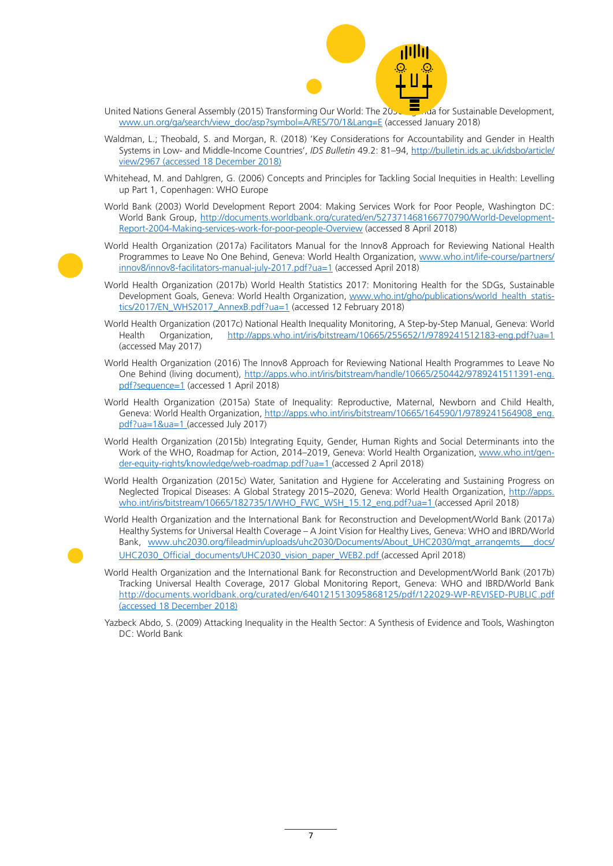

- United Nations General Assembly (2015) Transforming Our World: The 2030 **Agent Constantinable Development**, [www.un.org/ga/search/view\\_doc/asp?symbol=A/RES/70/1&Lang=E](http://www.un.org/ga/search/view_doc/asp?symbol=A/RES/70/1&Lang=E) (accessed January 2018)
- Waldman, L.; Theobald, S. and Morgan, R. (2018) 'Key Considerations for Accountability and Gender in Health Systems in Low- and Middle-Income Countries', *IDS Bulletin* 49.2: 81–94, [http://bulletin.ids.ac.uk/idsbo/article/](http://bulletin.ids.ac.uk/idsbo/article/view/2967) [view/2967](http://bulletin.ids.ac.uk/idsbo/article/view/2967) (accessed 18 December 2018)
- Whitehead, M. and Dahlgren, G. (2006) Concepts and Principles for Tackling Social Inequities in Health: Levelling up Part 1, Copenhagen: WHO Europe
- World Bank (2003) World Development Report 2004: Making Services Work for Poor People, Washington DC: World Bank Group, [http://documents.worldbank.org/curated/en/527371468166770790/World-Development-](http://documents.worldbank.org/curated/en/527371468166770790/World-Development-Report-2004-Making-services-work-for-poor-people-Overview)[Report-2004-Making-services-work-for-poor-people-Overview](http://documents.worldbank.org/curated/en/527371468166770790/World-Development-Report-2004-Making-services-work-for-poor-people-Overview) (accessed 8 April 2018)
- World Health Organization (2017a) Facilitators Manual for the Innov8 Approach for Reviewing National Health Programmes to Leave No One Behind, Geneva: World Health Organization, [www.who.int/life-course/partners/](http://www.who.int/life-course/partners/innov8/innov8-facilitators-manual-july-2017.pdf?ua=1) [innov8/innov8-facilitators-manual-july-2017.pdf?ua=1](http://www.who.int/life-course/partners/innov8/innov8-facilitators-manual-july-2017.pdf?ua=1) (accessed April 2018)
- World Health Organization (2017b) World Health Statistics 2017: Monitoring Health for the SDGs, Sustainable Development Goals, Geneva: World Health Organization, [www.who.int/gho/publications/world\\_health\\_statis](http://www.who.int/gho/publications/world_health_statistics/2017/EN_WHS2017_AnnexB.pdf?ua=1)[tics/2017/EN\\_WHS2017\\_AnnexB.pdf?ua=1](http://www.who.int/gho/publications/world_health_statistics/2017/EN_WHS2017_AnnexB.pdf?ua=1) (accessed 12 February 2018)
- World Health Organization (2017c) National Health Inequality Monitoring, A Step-by-Step Manual, Geneva: World Health Organization, <http://apps.who.int/iris/bitstream/10665/255652/1/9789241512183-eng.pdf?ua=1> (accessed May 2017)
- World Health Organization (2016) The Innov8 Approach for Reviewing National Health Programmes to Leave No One Behind (living document), [http://apps.who.int/iris/bitstream/handle/10665/250442/9789241511391-eng.](http://apps.who.int/iris/bitstream/handle/10665/250442/9789241511391-eng.pdf?sequence=1) [pdf?sequence=1](http://apps.who.int/iris/bitstream/handle/10665/250442/9789241511391-eng.pdf?sequence=1) (accessed 1 April 2018)
- World Health Organization (2015a) State of Inequality: Reproductive, Maternal, Newborn and Child Health, Geneva: World Health Organization, [http://apps.who.int/iris/bitstream/10665/164590/1/9789241564908\\_eng.](http://apps.who.int/iris/bitstream/10665/164590/1/9789241564908_eng.pdf?ua=1&ua=1) [pdf?ua=1&ua=1](http://apps.who.int/iris/bitstream/10665/164590/1/9789241564908_eng.pdf?ua=1&ua=1) (accessed July 2017)
- World Health Organization (2015b) Integrating Equity, Gender, Human Rights and Social Determinants into the Work of the WHO, Roadmap for Action, 2014–2019, Geneva: World Health Organization, [www.who.int/gen](http://www.who.int/gender-equity-rights/knowledge/web-roadmap.pdf?ua=1)[der-equity-rights/knowledge/web-roadmap.pdf?ua=1](http://www.who.int/gender-equity-rights/knowledge/web-roadmap.pdf?ua=1) (accessed 2 April 2018)
- World Health Organization (2015c) Water, Sanitation and Hygiene for Accelerating and Sustaining Progress on Neglected Tropical Diseases: A Global Strategy 2015–2020, Geneva: World Health Organization, [http://apps.](http://apps.who.int/iris/bitstream/10665/182735/1/WHO_FWC_WSH_15.12_eng.pdf?ua=1) [who.int/iris/bitstream/10665/182735/1/WHO\\_FWC\\_WSH\\_15.12\\_eng.pdf?ua=1](http://apps.who.int/iris/bitstream/10665/182735/1/WHO_FWC_WSH_15.12_eng.pdf?ua=1) (accessed April 2018)
- World Health Organization and the International Bank for Reconstruction and Development/World Bank (2017a) Healthy Systems for Universal Health Coverage – A Joint Vision for Healthy Lives, Geneva: WHO and IBRD/World Bank, [www.uhc2030.org/fileadmin/uploads/uhc2030/Documents/About\\_UHC2030/mgt\\_arrangemts\\_\\_\\_docs/](https://www.uhc2030.org/fileadmin/uploads/uhc2030/Documents/About_UHC2030/mgt_arrangemts___docs/UHC2030_Official_documents/UHC2030_vision_paper_WEB2.pdf) [UHC2030\\_Official\\_documents/UHC2030\\_vision\\_paper\\_WEB2.pdf](https://www.uhc2030.org/fileadmin/uploads/uhc2030/Documents/About_UHC2030/mgt_arrangemts___docs/UHC2030_Official_documents/UHC2030_vision_paper_WEB2.pdf) (accessed April 2018)
- World Health Organization and the International Bank for Reconstruction and Development/World Bank (2017b) Tracking Universal Health Coverage, 2017 Global Monitoring Report, Geneva: WHO and IBRD/World Bank <http://documents.worldbank.org/curated/en/640121513095868125/pdf/122029-WP-REVISED-PUBLIC.pdf> (accessed 18 December 2018)
- Yazbeck Abdo, S. (2009) Attacking Inequality in the Health Sector: A Synthesis of Evidence and Tools, Washington DC: World Bank